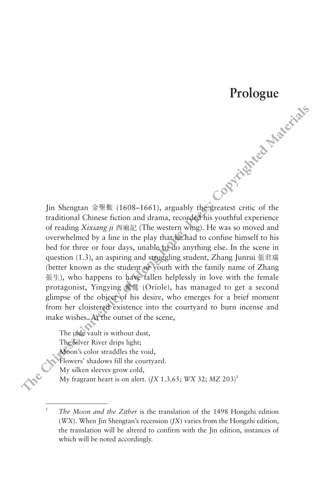## **Prologue**

Jin Shengtan 金聖歎 (1608–1661), arguably the greatest critic of the traditional Chinese fiction and drama, recorded his youthful experience of reading *Xixiang ji* 西廂記 (The western wing). He was so moved and overwhelmed by a line in the play that he had to confine himself to his bed for three or four days, unable to do anything else. In the scene in question (1.3), an aspiring and struggling student, Zhang Junrui 張君瑞 (better known as the student or youth with the family name of Zhang 張生), who happens to have fallen helplessly in love with the female protagonist, Yingying 鶯鶯 (Oriole), has managed to get a second glimpse of the object of his desire, who emerges for a brief moment from her cloistered existence into the courtyard to burn incense and make wishes. At the outset of the scene, **Prologue**<br>
In Shengtan  $\hat{\omega} \equiv \hat{\mathbf{g}}$  (1608-1661), arguably the tractice of the<br>
traditional Chinese fiction and drama, recocked his youthful experience<br>
of reading Xizumg  $\hat{\mu}$   $\hat{\pi}$   $\hat{\pi}$   $\hat{\pi}$   $\hat{\pi}$   $\hat{\pi$ 

The jade vault is without dust, The Silver River drips light; Moon's color straddles the void, Flowers' shadows fill the courtyard. My silken sleeves grow cold, My fragrant heart is on alert. (*JX* 1.3.65; *WX* 32; *MZ* 203)1

<sup>1</sup> *The Moon and the Zither* is the translation of the 1498 Hongzhi edition (*WX*). When Jin Shengtan's recension (*JX*) varies from the Hongzhi edition, the translation will be altered to confirm with the Jin edition, instances of which will be noted accordingly.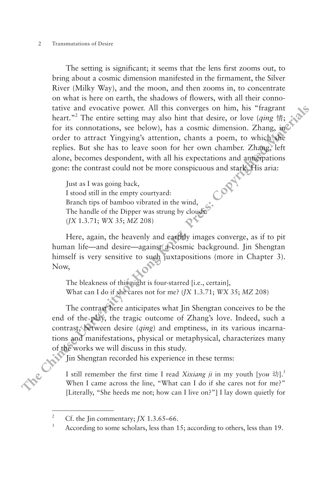## 2 Transmutations of Desire

The setting is significant; it seems that the lens first zooms out, to bring about a cosmic dimension manifested in the firmament, the Silver River (Milky Way), and the moon, and then zooms in, to concentrate on what is here on earth, the shadows of flowers, with all their connotative and evocative power. All this converges on him, his "fragrant heart."2 The entire setting may also hint that desire, or love (*qing* 情; for its connotations, see below), has a cosmic dimension. Zhang, in order to attract Yingying's attention, chants a poem, to which she replies. But she has to leave soon for her own chamber. Zhang, left alone, becomes despondent, with all his expectations and anticipations gone: the contrast could not be more conspicuous and stark. His aria: **EVALUAT SET ANTIFY AND SET AND MATE ANTIFIC THE SIMPLE TO WAT IN the SIMPLE TO must be the content that is here on each the bradows of flowers, with all their connect trainers trainers that**  $\pi^2$ **. The entire setting may** 

Just as I was going back, I stood still in the empty courtyard: Branch tips of bamboo vibrated in the wind, The handle of the Dipper was strung by clouds. (*JX* 1.3.71; *WX* 35; *MZ* 208)

Here, again, the heavenly and earthly images converge, as if to pit human life—and desire—against a cosmic background. Jin Shengtan himself is very sensitive to such juxtapositions (more in Chapter 3). Now,

The bleakness of this night is four-starred [i.e., certain], What can I do if she cares not for me? (*JX* 1.3.71; *WX* 35; *MZ* 208)

The contrast here anticipates what Jin Shengtan conceives to be the end of the play, the tragic outcome of Zhang's love. Indeed, such a contrast, between desire (*qing*) and emptiness, in its various incarnations and manifestations, physical or metaphysical, characterizes many of the works we will discuss in this study.

In Shengtan recorded his experience in these terms:

I still remember the first time I read *Xixiang ii* in my youth [you 幼].<sup>3</sup> When I came across the line, "What can I do if she cares not for me?" [Literally, "She heeds me not; how can I live on?"] I lay down quietly for

<sup>&</sup>lt;sup>2</sup> Cf. the Jin commentary; *JX* 1.3.65–66.<br><sup>3</sup> According to some scholars, less than 15; according to others, less than 19.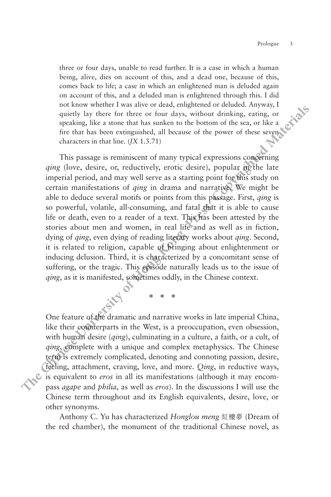three or four days, unable to read further. It is a case in which a human being, alive, dies on account of this, and a dead one, because of this, comes back to life; a case in which an enlightened man is deluded again on account of this, and a deluded man is enlightened through this. I did not know whether I was alive or dead, enlightened or deluded. Anyway, I quietly lay there for three or four days, without drinking, eating, or speaking, like a stone that has sunken to the bottom of the sea, or like a fire that has been extinguished, all because of the power of these seven characters in that line. (*JX* 1.3.71)

This passage is reminiscent of many typical expressions concerning *qing* (love, desire, or, reductively, erotic desire), popular in the late imperial period, and may well serve as a starting point for this study on certain manifestations of *qing* in drama and narrative. We might be able to deduce several motifs or points from this passage. First, *qing* is so powerful, volatile, all-consuming, and fatal that it is able to cause life or death, even to a reader of a text. This has been attested by the stories about men and women, in real life and as well as in fiction, dying of *qing*, even dying of reading literary works about *qing*. Second, it is related to religion, capable of bringing about enlightenment or inducing delusion. Third, it is characterized by a concomitant sense of suffering, or the tragic. This episode naturally leads us to the issue of *qing*, as it is manifested, sometimes oddly, in the Chinese context. **There** is any two solution of this and a deluded man is enlighted throught and a deluded again on account of this and a deluded anni is enlighted of this conduct of this and a deluded anni is englighted of the part of th

One feature of the dramatic and narrative works in late imperial China, like their counterparts in the West, is a preoccupation, even obsession, with human desire (*qing*), culminating in a culture, a faith, or a cult, of *qing*, complete with a unique and complex metaphysics. The Chinese term is extremely complicated, denoting and connoting passion, desire, feeling, attachment, craving, love, and more. *Qing*, in reductive ways, is equivalent to *eros* in all its manifestations (although it may encompass *agape* and *philia*, as well as *eros*). In the discussions I will use the Chinese term throughout and its English equivalents, desire, love, or other synonyms.

\* \* \*

Anthony C. Yu has characterized *Honglou meng* 紅樓夢 (Dream of the red chamber), the monument of the traditional Chinese novel, as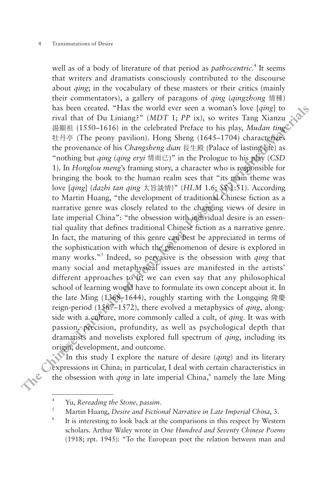well as of a body of literature of that period as *pathocentric*.<sup>4</sup> It seems that writers and dramatists consciously contributed to the discourse about *qing*; in the vocabulary of these masters or their critics (mainly their commentators), a gallery of paragons of *qing* (*qingzhong* 情種) has been created. "Has the world ever seen a woman's love [*qing*] to rival that of Du Liniang?" (*MDT* 1; *PP* ix), so writes Tang Xianzu 湯顯祖 (1550–1616) in the celebrated Preface to his play, *Mudan ting* 牡丹亭 (The peony pavilion). Hong Sheng (1645–1704) characterizes the provenance of his *Changsheng dian* 長生殿 (Palace of lasting life) as "nothing but *qing* (*qing eryi* 情而已)" in the Prologue to his play (*CSD* 1). In *Honglou meng*'s framing story, a character who is responsible for bringing the book to the human realm sees that "its main theme was love [*qing*] (*dazhi tan qing* 大旨談情)" (*HLM* 1.6; *SS* 1:51). According to Martin Huang, "the development of traditional Chinese fiction as a narrative genre was closely related to the changing views of desire in late imperial China": "the obsession with individual desire is an essential quality that defines traditional Chinese fiction as a narrative genre. In fact, the maturing of this genre can best be appreciated in terms of the sophistication with which the phenomenon of desire is explored in many works."<sup>5</sup> Indeed, so pervasive is the obsession with *qing* that many social and metaphysical issues are manifested in the artists' different approaches to it; we can even say that any philosophical school of learning would have to formulate its own concept about it. In the late Ming (1368–1644), roughly starting with the Longqing 隆慶 reign-period (1567–1572), there evolved a metaphysics of *qing*, alongside with a culture, more commonly called a cult, of *qing*. It was with passion, precision, profundity, as well as psychological depth that dramatists and novelists explored full spectrum of *qing*, including its origin, development, and outcome. that White small cartamination conclusive controllation of the use of the states of the constant of the chinese of the constant of the chinese of the chinese of the chinese of the chinese of the chinese of the chinese of

In this study I explore the nature of desire (*qing*) and its literary expressions in China; in particular, I deal with certain characteristics in the obsession with *qing* in late imperial China,<sup>6</sup> namely the late Ming

<sup>4</sup> Yu, *Rereading the Stone, passim*. 5 Martin Huang, *Desire and Fictional Narrative in Late Imperial China*, 3.

<sup>6</sup> It is interesting to look back at the comparisons in this respect by Western scholars. Arthur Waley wrote in *One Hundred and Seventy Chinese Poems*  (1918; rpt. 1945): "To the European poet the relation between man and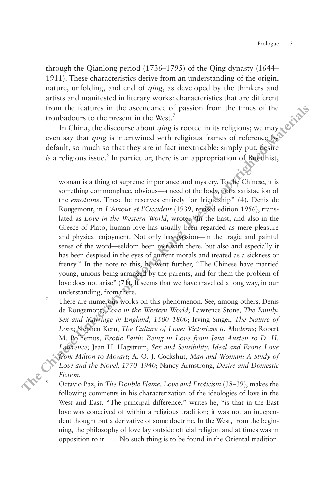through the Qianlong period (1736–1795) of the Qing dynasty (1644– 1911). These characteristics derive from an understanding of the origin, nature, unfolding, and end of *qing*, as developed by the thinkers and artists and manifested in literary works: characteristics that are different from the features in the ascendance of passion from the times of the troubadours to the present in the West.<sup>7</sup>

In China, the discourse about *qing* is rooted in its religions; we may even say that *qing* is intertwined with religious frames of reference by default, so much so that they are in fact inextricable: simply put, desire is a religious issue.<sup>8</sup> In particular, there is an appropriation of Buddhist,

woman is a thing of supreme importance and mystery. To the Chinese, it is something commonplace, obvious—a need of the body, not a satisfaction of the *emotions*. These he reserves entirely for friendship" (4). Denis de Rougemont, in *L'Amour et l'Occident* (1939, revised edition 1956), translated as *Love in the Western World*, wrote, "In the East, and also in the Greece of Plato, human love has usually been regarded as mere pleasure and physical enjoyment. Not only has passion—in the tragic and painful sense of the word—seldom been met with there, but also and especially it has been despised in the eyes of current morals and treated as a sickness or frenzy." In the note to this, he went further, "The Chinese have married young, unions being arranged by the parents, and for them the problem of love does not arise" (71). It seems that we have travelled a long way, in our understanding, from there.<br><sup>7</sup> There are numerous works on this phenomenon. See, among others, Denis **THEP** THE CHIRC CHIRC CHIRC CHIRC CHIRC CHIRC CHIRC CHIRC CHIRC CHIRC CHIRC CHIRC CHIRC CHIRC CHIRC CHIRC CHIRC CHIRC CHIRC CHIRC CHIRC CHIRC CHIRC CHIRC CHIRC CHIRC CHIRC CHIRC CHIRC CHIRC CHIRC CHIRC CHIRC CHIRC CHIRC

de Rougemont, *Love in the Western World*; Lawrence Stone, *The Family, Sex and Marriage in England, 1500–1800*; Irving Singer, *The Nature of Love*; Stephen Kern, *The Culture of Love: Victorians to Moderns*; Robert M. Polhemus, *Erotic Faith: Being in Love from Jane Austen to D. H. Lawrence*; Jean H. Hagstrum, *Sex and Sensibility: Ideal and Erotic Love from Milton to Mozart*; A. O. J. Cockshut, *Man and Woman: A Study of Love and the Novel, 1770–1940*; Nancy Armstrong, *Desire and Domestic Fiction*.

<sup>8</sup> Octavio Paz, in *The Double Flame: Love and Eroticism* (38–39), makes the following comments in his characterization of the ideologies of love in the West and East. "The principal difference," writes he, "is that in the East love was conceived of within a religious tradition; it was not an independent thought but a derivative of some doctrine. In the West, from the beginning, the philosophy of love lay outside official religion and at times was in opposition to it. . . . No such thing is to be found in the Oriental tradition.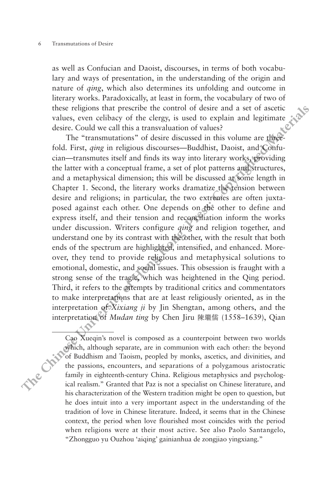as well as Confucian and Daoist, discourses, in terms of both vocabulary and ways of presentation, in the understanding of the origin and nature of *qing*, which also determines its unfolding and outcome in literary works. Paradoxically, at least in form, the vocabulary of two of these religions that prescribe the control of desire and a set of ascetic values, even celibacy of the clergy, is used to explain and legitimate desire. Could we call this a transvaluation of values?

The "transmutations" of desire discussed in this volume are threefold. First, *qing* in religious discourses—Buddhist, Daoist, and Confucian—transmutes itself and finds its way into literary works, providing the latter with a conceptual frame, a set of plot patterns and structures, and a metaphysical dimension; this will be discussed at some length in Chapter 1. Second, the literary works dramatize the tension between desire and religions; in particular, the two extremes are often juxtaposed against each other. One depends on the other to define and express itself, and their tension and reconciliation inform the works under discussion. Writers configure *qing* and religion together, and understand one by its contrast with the other, with the result that both ends of the spectrum are highlighted, intensified, and enhanced. Moreover, they tend to provide religious and metaphysical solutions to emotional, domestic, and social issues. This obsession is fraught with a strong sense of the tragic, which was heightened in the Qing period. Third, it refers to the attempts by traditional critics and commentators to make interpretations that are at least religiously oriented, as in the interpretation of *Xixiang ji* by Jin Shengtan, among others, and the interpretation of *Mudan ting* by Chen Jiru 陳繼儒 (1558–1639), Qian **The three them** and way or presentation, in the understanding or the origin and the control directly which also determines its uniformly on the vocability of two of these religions that prescribe the control of desire and

Cao Xueqin's novel is composed as a counterpoint between two worlds which, although separate, are in communion with each other: the beyond of Buddhism and Taoism, peopled by monks, ascetics, and divinities, and the passions, encounters, and separations of a polygamous aristocratic family in eighteenth-century China. Religious metaphysics and psychological realism." Granted that Paz is not a specialist on Chinese literature, and his characterization of the Western tradition might be open to question, but he does intuit into a very important aspect in the understanding of the tradition of love in Chinese literature. Indeed, it seems that in the Chinese context, the period when love flourished most coincides with the period when religions were at their most active. See also Paolo Santangelo, "Zhongguo yu Ouzhou 'aiqing' gainianhua de zongjiao yingxiang."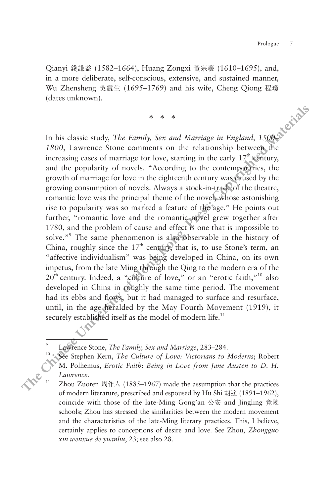Qianyi 錢謙益 (1582–1664), Huang Zongxi 黃宗羲 (1610–1695), and, in a more deliberate, self-conscious, extensive, and sustained manner, Wu Zhensheng 吳震生 (1695–1769) and his wife, Cheng Qiong 程瓊 (dates unknown).

\* \* \*

In his classic study, *The Family, Sex and Marriage in England, 1500– 1800*, Lawrence Stone comments on the relationship between the increasing cases of marriage for love, starting in the early  $17<sup>th</sup>$  century, and the popularity of novels. "According to the contemporaries, the growth of marriage for love in the eighteenth century was caused by the growing consumption of novels. Always a stock-in-trade of the theatre, romantic love was the principal theme of the novel, whose astonishing rise to popularity was so marked a feature of the age." He points out further, "romantic love and the romantic novel grew together after 1780, and the problem of cause and effect is one that is impossible to solve."<sup>9</sup> The same phenomenon is also observable in the history of China, roughly since the  $17<sup>th</sup>$  century, that is, to use Stone's term, an "affective individualism" was being developed in China, on its own impetus, from the late Ming through the Qing to the modern era of the 20<sup>th</sup> century. Indeed, a "culture of love," or an "erotic faith,"<sup>10</sup> also developed in China in roughly the same time period. The movement had its ebbs and flows, but it had managed to surface and resurface, until, in the age heralded by the May Fourth Movement (1919), it securely established itself as the model of modern life.<sup>11</sup> **The animation of the content of the conduct servers were determined mattering**  $\Re_k \mathcal{L}$  **(1695–1769) and his wife, Cheng Qiong**  $\mathcal{L}$  **(dates unknown).<br>**  $*$  $*$  $*$  $*$ **<br>
In his classic study,** *The Family, Sex and Marri* 

<sup>9</sup> Lawrence Stone, *The Family, Sex and Marriage*, 283–284.

<sup>10</sup> See Stephen Kern, *The Culture of Love: Victorians to Moderns*; Robert M. Polhemus, *Erotic Faith: Being in Love from Jane Austen to D. H. Lawrence*.

Zhou Zuoren 周作人 (1885-1967) made the assumption that the practices of modern literature, prescribed and espoused by Hu Shi 胡適 (1891–1962), coincide with those of the late-Ming Gong'an 公安 and Jingling 竟陵 schools; Zhou has stressed the similarities between the modern movement and the characteristics of the late-Ming literary practices. This, I believe, certainly applies to conceptions of desire and love. See Zhou, *Zhongguo xin wenxue de yuanliu*, 23; see also 28.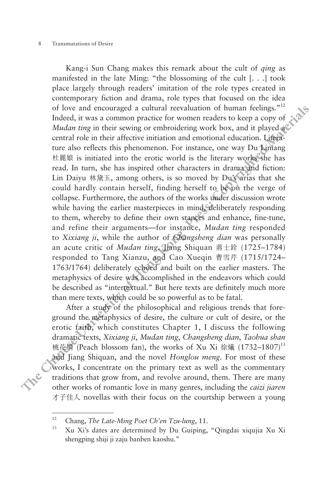Kang-i Sun Chang makes this remark about the cult of *qing* as manifested in the late Ming: "the blossoming of the cult [. . .] took place largely through readers' imitation of the role types created in contemporary fiction and drama, role types that focused on the idea of love and encouraged a cultural reevaluation of human feelings."12 Indeed, it was a common practice for women readers to keep a copy of *Mudan ting* in their sewing or embroidering work box, and it played a central role in their affective initiation and emotional education. Literature also reflects this phenomenon. For instance, one way Du Liniang 杜麗娘 is initiated into the erotic world is the literary works she has read. In turn, she has inspired other characters in drama and fiction: Lin Daiyu 林黛玉, among others, is so moved by Du's arias that she could hardly contain herself, finding herself to be on the verge of collapse. Furthermore, the authors of the works under discussion wrote while having the earlier masterpieces in mind, deliberately responding to them, whereby to define their own stances and enhance, fine-tune, and refine their arguments—for instance, *Mudan ting* responded to *Xixiang ji*, while the author of *Changsheng dian* was personally an acute critic of *Mudan ting*. Jiang Shiquan 蔣士銓 (1725–1784) responded to Tang Xianzu, and Cao Xueqin 曹雪芹 (1715/1724– 1763/1764) deliberately echoed and built on the earlier masters. The metaphysics of desire was accomplished in the endeavors which could be described as "intertextual." But here texts are definitely much more than mere texts, which could be so powerful as to be fatal. manneses in the atm same pressign of the case of the control of the control of the control of the control of the control of the control of the control of the control of the control of the control of the control of the con

After a study of the philosophical and religious trends that foreground the metaphysics of desire, the culture or cult of desire, or the erotic faith, which constitutes Chapter 1, I discuss the following dramatic texts, *Xixiang ji*, *Mudan ting*, *Changsheng dian*, *Taohua shan*  桃花扇 (Peach blossom fan), the works of Xu Xi 徐爔 (1732-1807)<sup>13</sup> and Jiang Shiquan, and the novel *Honglou meng*. For most of these works, I concentrate on the primary text as well as the commentary traditions that grow from, and revolve around, them. There are many other works of romantic love in many genres, including the *caizi jiaren* 才子佳人 novellas with their focus on the courtship between a young

<sup>12</sup> Chang, *The Late-Ming Poet Ch'en Tzu-lung*, 11.

<sup>13</sup> Xu Xi's dates are determined by Du Guiping, "Qingdai xiqujia Xu Xi shengping shiji ji zaju banben kaoshu."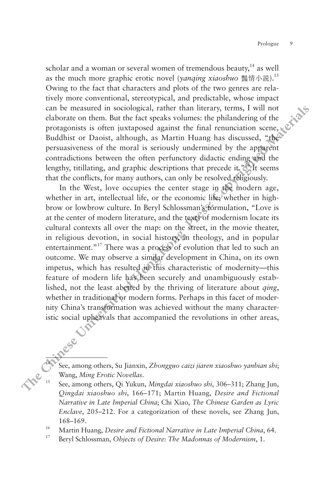scholar and a woman or several women of tremendous beauty, $14$  as well as the much more graphic erotic novel (*yanqing xiaoshuo* 豔情小說).15 Owing to the fact that characters and plots of the two genres are relatively more conventional, stereotypical, and predictable, whose impact can be measured in sociological, rather than literary, terms, I will not elaborate on them. But the fact speaks volumes: the philandering of the protagonists is often juxtaposed against the final renunciation scene,  $\mathbb{R}^{\mathbb{C}}$ Buddhist or Daoist, although, as Martin Huang has discussed, "the persuasiveness of the moral is seriously undermined by the apparent contradictions between the often perfunctory didactic ending and the lengthy, titillating, and graphic descriptions that precede it."<sup>16</sup> It seems that the conflicts, for many authors, can only be resolved religiously.

In the West, love occupies the center stage in the modern age, whether in art, intellectual life, or the economic life; whether in highbrow or lowbrow culture. In Beryl Schlossman's formulation, "Love is at the center of modern literature, and the texts of modernism locate its cultural contexts all over the map: on the street, in the movie theater, in religious devotion, in social history, in theology, and in popular entertainment."<sup>17</sup> There was a process of evolution that led to such an outcome. We may observe a similar development in China, on its own impetus, which has resulted in this characteristic of modernity—this feature of modern life has been securely and unambiguously established, not the least abetted by the thriving of literature about *qing*, whether in traditional or modern forms. Perhaps in this facet of modernity China's transformation was achieved without the many characteristic social upheavals that accompanied the revolutions in other areas, **EXERENT INTERENT (THEORY CONDUGATION TRIGGERS) THEORY (NOTE THEORY (NOTE THEORY (NOTE THEORY CONDUGATION) are presented can be measured in sociological, rather than literary, terms, I will not clabrate on them. But the f** 

<sup>14</sup> See, among others, Su Jianxin, *Zhongguo caizi jiaren xiaoshuo yanbian shi*; Wang, *Ming Erotic Novellas.* 15 Mingdai xiaoshuo shi, 306–311; Zhang Jun, See, among others, Qi Yukun, *Mingdai xiaoshuo shi*, 306–311; Zhang Jun,

*Qingdai xiaoshuo shi*, 166–171; Martin Huang, *Desire and Fictional Narrative in Late Imperial China*; Chi Xiao, *The Chinese Garden as Lyric Enclave*, 205–212. For a categorization of these novels, see Zhang Jun, 168–169. 16 Martin Huang, *Desire and Fictional Narrative in Late Imperial China*, 64.

<sup>17</sup> Beryl Schlossman, *Objects of Desire: The Madonnas of Modernism*, 1.